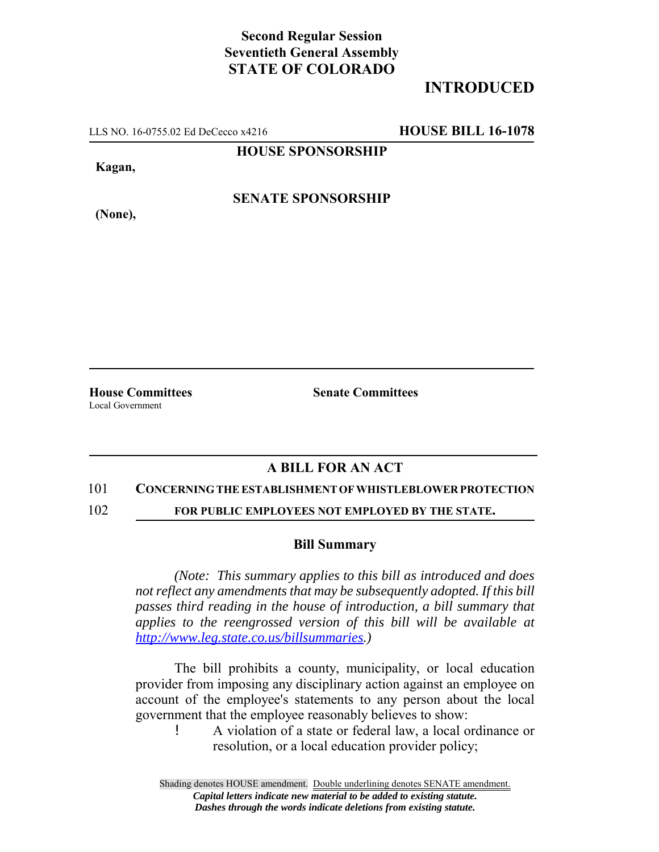## **Second Regular Session Seventieth General Assembly STATE OF COLORADO**

# **INTRODUCED**

LLS NO. 16-0755.02 Ed DeCecco x4216 **HOUSE BILL 16-1078**

**HOUSE SPONSORSHIP**

**Kagan,**

**(None),**

**SENATE SPONSORSHIP**

**House Committees Senate Committees** Local Government

### **A BILL FOR AN ACT**

#### 101 **CONCERNING THE ESTABLISHMENT OF WHISTLEBLOWER PROTECTION**

102 **FOR PUBLIC EMPLOYEES NOT EMPLOYED BY THE STATE.**

#### **Bill Summary**

*(Note: This summary applies to this bill as introduced and does not reflect any amendments that may be subsequently adopted. If this bill passes third reading in the house of introduction, a bill summary that applies to the reengrossed version of this bill will be available at http://www.leg.state.co.us/billsummaries.)*

The bill prohibits a county, municipality, or local education provider from imposing any disciplinary action against an employee on account of the employee's statements to any person about the local government that the employee reasonably believes to show:

! A violation of a state or federal law, a local ordinance or resolution, or a local education provider policy;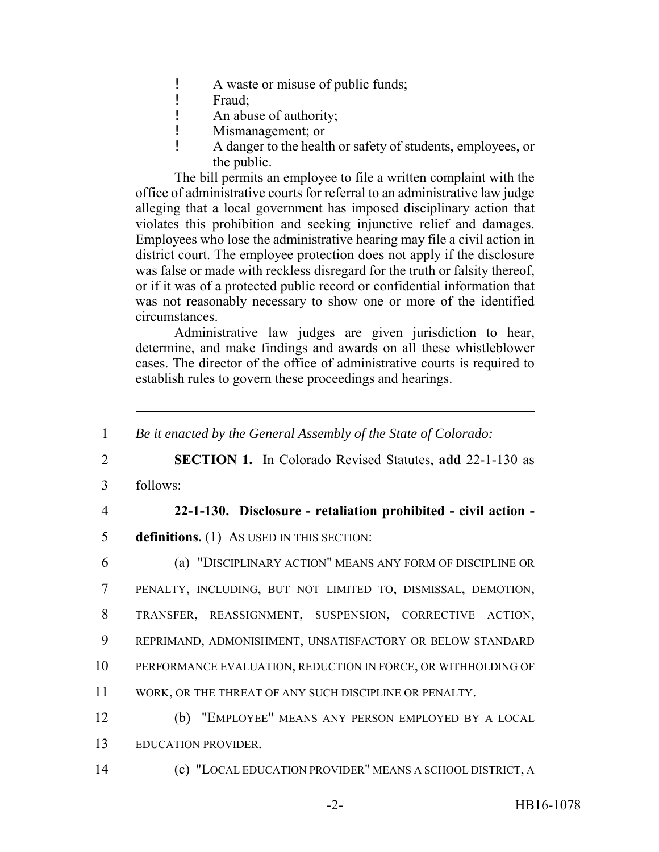- ! A waste or misuse of public funds;
- ! Fraud;
- ! An abuse of authority;
- ! Mismanagement; or
- ! A danger to the health or safety of students, employees, or the public.

The bill permits an employee to file a written complaint with the office of administrative courts for referral to an administrative law judge alleging that a local government has imposed disciplinary action that violates this prohibition and seeking injunctive relief and damages. Employees who lose the administrative hearing may file a civil action in district court. The employee protection does not apply if the disclosure was false or made with reckless disregard for the truth or falsity thereof, or if it was of a protected public record or confidential information that was not reasonably necessary to show one or more of the identified circumstances.

Administrative law judges are given jurisdiction to hear, determine, and make findings and awards on all these whistleblower cases. The director of the office of administrative courts is required to establish rules to govern these proceedings and hearings.

 *Be it enacted by the General Assembly of the State of Colorado:* **SECTION 1.** In Colorado Revised Statutes, **add** 22-1-130 as 3 follows: **22-1-130. Disclosure - retaliation prohibited - civil action - definitions.** (1) AS USED IN THIS SECTION: (a) "DISCIPLINARY ACTION" MEANS ANY FORM OF DISCIPLINE OR PENALTY, INCLUDING, BUT NOT LIMITED TO, DISMISSAL, DEMOTION, TRANSFER, REASSIGNMENT, SUSPENSION, CORRECTIVE ACTION, REPRIMAND, ADMONISHMENT, UNSATISFACTORY OR BELOW STANDARD PERFORMANCE EVALUATION, REDUCTION IN FORCE, OR WITHHOLDING OF WORK, OR THE THREAT OF ANY SUCH DISCIPLINE OR PENALTY. (b) "EMPLOYEE" MEANS ANY PERSON EMPLOYED BY A LOCAL EDUCATION PROVIDER. (c) "LOCAL EDUCATION PROVIDER" MEANS A SCHOOL DISTRICT, A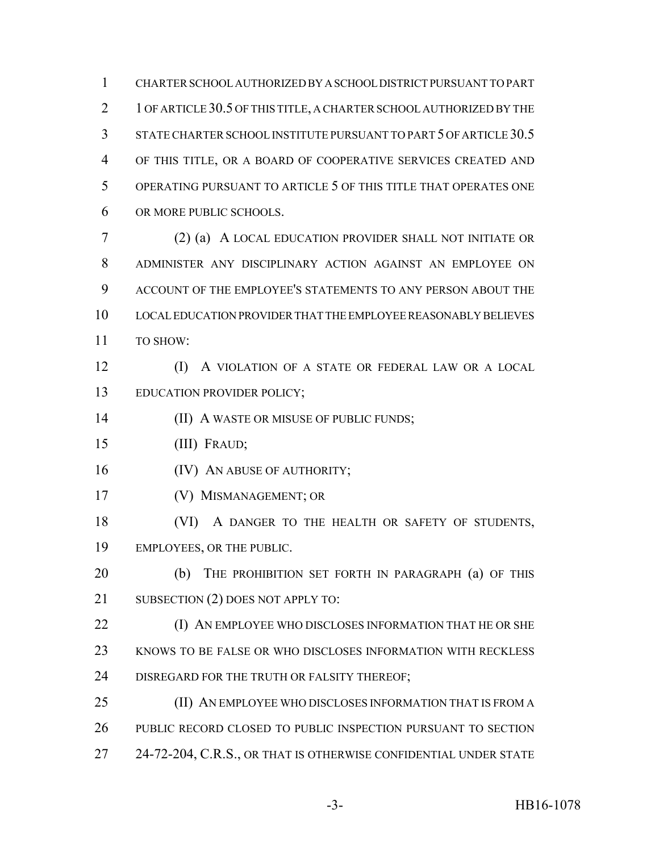CHARTER SCHOOL AUTHORIZED BY A SCHOOL DISTRICT PURSUANT TO PART 2 1 OF ARTICLE 30.5 OF THIS TITLE, A CHARTER SCHOOL AUTHORIZED BY THE STATE CHARTER SCHOOL INSTITUTE PURSUANT TO PART 5 OF ARTICLE 30.5 OF THIS TITLE, OR A BOARD OF COOPERATIVE SERVICES CREATED AND OPERATING PURSUANT TO ARTICLE 5 OF THIS TITLE THAT OPERATES ONE OR MORE PUBLIC SCHOOLS. (2) (a) A LOCAL EDUCATION PROVIDER SHALL NOT INITIATE OR

 ADMINISTER ANY DISCIPLINARY ACTION AGAINST AN EMPLOYEE ON ACCOUNT OF THE EMPLOYEE'S STATEMENTS TO ANY PERSON ABOUT THE LOCAL EDUCATION PROVIDER THAT THE EMPLOYEE REASONABLY BELIEVES 11 TO SHOW:

 (I) A VIOLATION OF A STATE OR FEDERAL LAW OR A LOCAL EDUCATION PROVIDER POLICY;

**(II) A WASTE OR MISUSE OF PUBLIC FUNDS;** 

(III) FRAUD;

**(IV)** AN ABUSE OF AUTHORITY;

- (V) MISMANAGEMENT; OR
- (VI) A DANGER TO THE HEALTH OR SAFETY OF STUDENTS, EMPLOYEES, OR THE PUBLIC.

**(b)** THE PROHIBITION SET FORTH IN PARAGRAPH (a) OF THIS 21 SUBSECTION (2) DOES NOT APPLY TO:

**(I) AN EMPLOYEE WHO DISCLOSES INFORMATION THAT HE OR SHE**  KNOWS TO BE FALSE OR WHO DISCLOSES INFORMATION WITH RECKLESS DISREGARD FOR THE TRUTH OR FALSITY THEREOF;

 (II) AN EMPLOYEE WHO DISCLOSES INFORMATION THAT IS FROM A PUBLIC RECORD CLOSED TO PUBLIC INSPECTION PURSUANT TO SECTION 24-72-204, C.R.S., OR THAT IS OTHERWISE CONFIDENTIAL UNDER STATE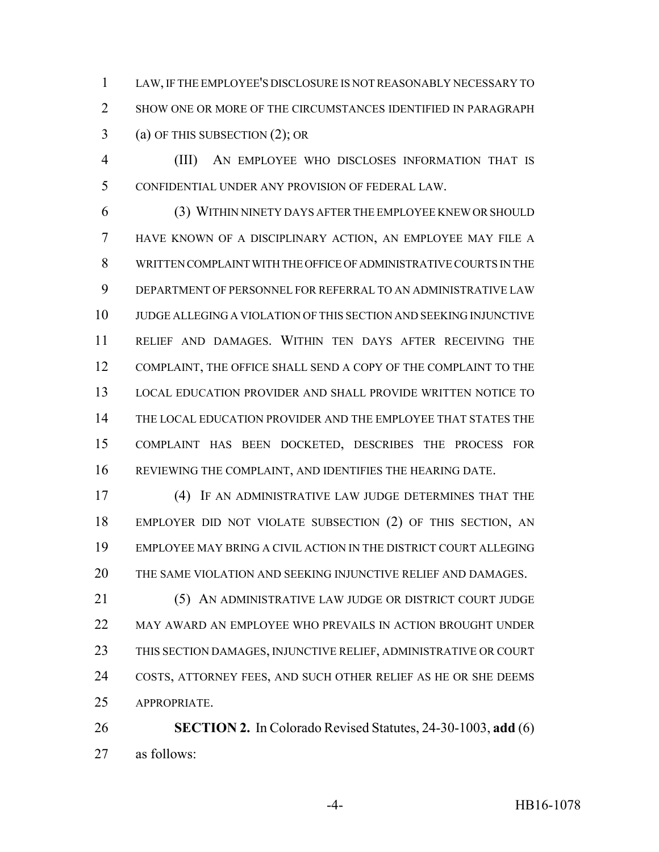LAW, IF THE EMPLOYEE'S DISCLOSURE IS NOT REASONABLY NECESSARY TO 2 SHOW ONE OR MORE OF THE CIRCUMSTANCES IDENTIFIED IN PARAGRAPH (a) OF THIS SUBSECTION (2); OR

 (III) AN EMPLOYEE WHO DISCLOSES INFORMATION THAT IS CONFIDENTIAL UNDER ANY PROVISION OF FEDERAL LAW.

 (3) WITHIN NINETY DAYS AFTER THE EMPLOYEE KNEW OR SHOULD HAVE KNOWN OF A DISCIPLINARY ACTION, AN EMPLOYEE MAY FILE A WRITTEN COMPLAINT WITH THE OFFICE OF ADMINISTRATIVE COURTS IN THE DEPARTMENT OF PERSONNEL FOR REFERRAL TO AN ADMINISTRATIVE LAW JUDGE ALLEGING A VIOLATION OF THIS SECTION AND SEEKING INJUNCTIVE RELIEF AND DAMAGES. WITHIN TEN DAYS AFTER RECEIVING THE COMPLAINT, THE OFFICE SHALL SEND A COPY OF THE COMPLAINT TO THE LOCAL EDUCATION PROVIDER AND SHALL PROVIDE WRITTEN NOTICE TO THE LOCAL EDUCATION PROVIDER AND THE EMPLOYEE THAT STATES THE COMPLAINT HAS BEEN DOCKETED, DESCRIBES THE PROCESS FOR REVIEWING THE COMPLAINT, AND IDENTIFIES THE HEARING DATE.

 (4) IF AN ADMINISTRATIVE LAW JUDGE DETERMINES THAT THE EMPLOYER DID NOT VIOLATE SUBSECTION (2) OF THIS SECTION, AN EMPLOYEE MAY BRING A CIVIL ACTION IN THE DISTRICT COURT ALLEGING THE SAME VIOLATION AND SEEKING INJUNCTIVE RELIEF AND DAMAGES.

21 (5) AN ADMINISTRATIVE LAW JUDGE OR DISTRICT COURT JUDGE MAY AWARD AN EMPLOYEE WHO PREVAILS IN ACTION BROUGHT UNDER THIS SECTION DAMAGES, INJUNCTIVE RELIEF, ADMINISTRATIVE OR COURT COSTS, ATTORNEY FEES, AND SUCH OTHER RELIEF AS HE OR SHE DEEMS APPROPRIATE.

 **SECTION 2.** In Colorado Revised Statutes, 24-30-1003, **add** (6) as follows: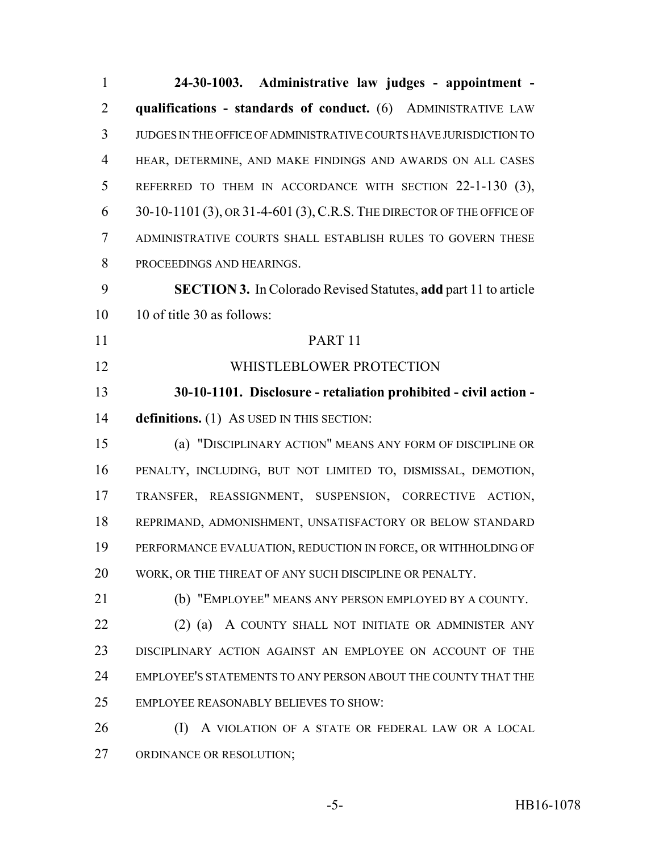| $\mathbf{1}$   | 24-30-1003. Administrative law judges - appointment -                  |
|----------------|------------------------------------------------------------------------|
| $\overline{2}$ | qualifications - standards of conduct. (6) ADMINISTRATIVE LAW          |
| 3              | JUDGES IN THE OFFICE OF ADMINISTRATIVE COURTS HAVE JURISDICTION TO     |
| $\overline{4}$ | HEAR, DETERMINE, AND MAKE FINDINGS AND AWARDS ON ALL CASES             |
| 5              | REFERRED TO THEM IN ACCORDANCE WITH SECTION 22-1-130 (3),              |
| 6              | 30-10-1101 (3), OR 31-4-601 (3), C.R.S. THE DIRECTOR OF THE OFFICE OF  |
| $\tau$         | ADMINISTRATIVE COURTS SHALL ESTABLISH RULES TO GOVERN THESE            |
| 8              | PROCEEDINGS AND HEARINGS.                                              |
| 9              | <b>SECTION 3.</b> In Colorado Revised Statutes, add part 11 to article |
| 10             | 10 of title 30 as follows:                                             |
| 11             | PART <sub>11</sub>                                                     |
| 12             | WHISTLEBLOWER PROTECTION                                               |
| 13             | 30-10-1101. Disclosure - retaliation prohibited - civil action -       |
| 14             | definitions. (1) As USED IN THIS SECTION:                              |
| 15             | (a) "DISCIPLINARY ACTION" MEANS ANY FORM OF DISCIPLINE OR              |
| 16             | PENALTY, INCLUDING, BUT NOT LIMITED TO, DISMISSAL, DEMOTION,           |
| 17             | TRANSFER, REASSIGNMENT, SUSPENSION, CORRECTIVE ACTION,                 |
| 18             | REPRIMAND, ADMONISHMENT, UNSATISFACTORY OR BELOW STANDARD              |
| 19             | PERFORMANCE EVALUATION, REDUCTION IN FORCE, OR WITHHOLDING OF          |
| 20             | WORK, OR THE THREAT OF ANY SUCH DISCIPLINE OR PENALTY.                 |
| 21             | (b) "EMPLOYEE" MEANS ANY PERSON EMPLOYED BY A COUNTY.                  |
| 22             | $(2)$ (a)<br>A COUNTY SHALL NOT INITIATE OR ADMINISTER ANY             |
| 23             | DISCIPLINARY ACTION AGAINST AN EMPLOYEE ON ACCOUNT OF THE              |
| 24             | EMPLOYEE'S STATEMENTS TO ANY PERSON ABOUT THE COUNTY THAT THE          |
| 25             | <b>EMPLOYEE REASONABLY BELIEVES TO SHOW:</b>                           |
| 26             | A VIOLATION OF A STATE OR FEDERAL LAW OR A LOCAL<br>(I)                |
| 27             | ORDINANCE OR RESOLUTION;                                               |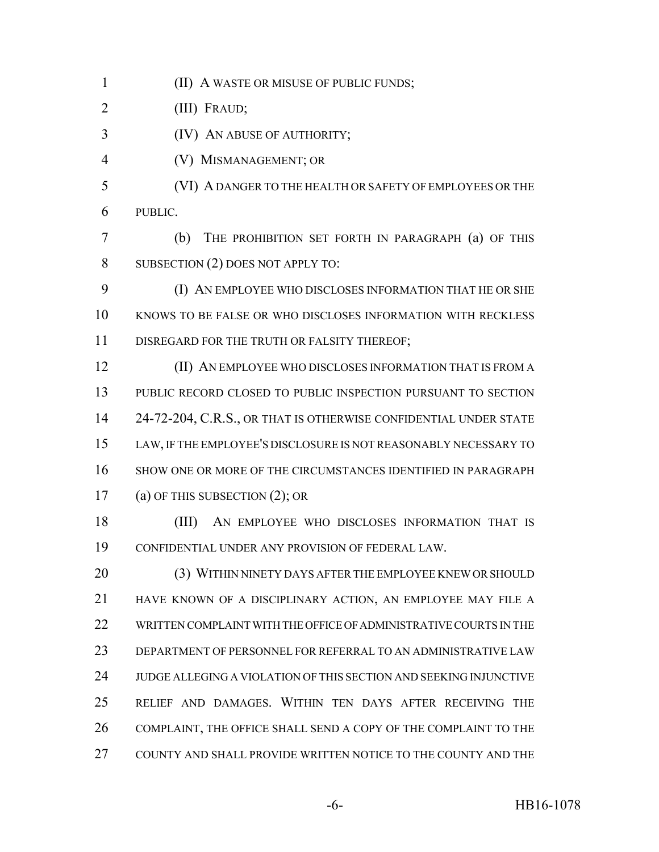(II) A WASTE OR MISUSE OF PUBLIC FUNDS;

(III) FRAUD;

(IV) AN ABUSE OF AUTHORITY;

- (V) MISMANAGEMENT; OR
- (VI) A DANGER TO THE HEALTH OR SAFETY OF EMPLOYEES OR THE PUBLIC.
- (b) THE PROHIBITION SET FORTH IN PARAGRAPH (a) OF THIS 8 SUBSECTION (2) DOES NOT APPLY TO:
- (I) AN EMPLOYEE WHO DISCLOSES INFORMATION THAT HE OR SHE KNOWS TO BE FALSE OR WHO DISCLOSES INFORMATION WITH RECKLESS DISREGARD FOR THE TRUTH OR FALSITY THEREOF;
- (II) AN EMPLOYEE WHO DISCLOSES INFORMATION THAT IS FROM A PUBLIC RECORD CLOSED TO PUBLIC INSPECTION PURSUANT TO SECTION 14 24-72-204, C.R.S., OR THAT IS OTHERWISE CONFIDENTIAL UNDER STATE LAW, IF THE EMPLOYEE'S DISCLOSURE IS NOT REASONABLY NECESSARY TO SHOW ONE OR MORE OF THE CIRCUMSTANCES IDENTIFIED IN PARAGRAPH (a) OF THIS SUBSECTION (2); OR
- (III) AN EMPLOYEE WHO DISCLOSES INFORMATION THAT IS CONFIDENTIAL UNDER ANY PROVISION OF FEDERAL LAW.
- 20 (3) WITHIN NINETY DAYS AFTER THE EMPLOYEE KNEW OR SHOULD HAVE KNOWN OF A DISCIPLINARY ACTION, AN EMPLOYEE MAY FILE A WRITTEN COMPLAINT WITH THE OFFICE OF ADMINISTRATIVE COURTS IN THE DEPARTMENT OF PERSONNEL FOR REFERRAL TO AN ADMINISTRATIVE LAW JUDGE ALLEGING A VIOLATION OF THIS SECTION AND SEEKING INJUNCTIVE RELIEF AND DAMAGES. WITHIN TEN DAYS AFTER RECEIVING THE COMPLAINT, THE OFFICE SHALL SEND A COPY OF THE COMPLAINT TO THE COUNTY AND SHALL PROVIDE WRITTEN NOTICE TO THE COUNTY AND THE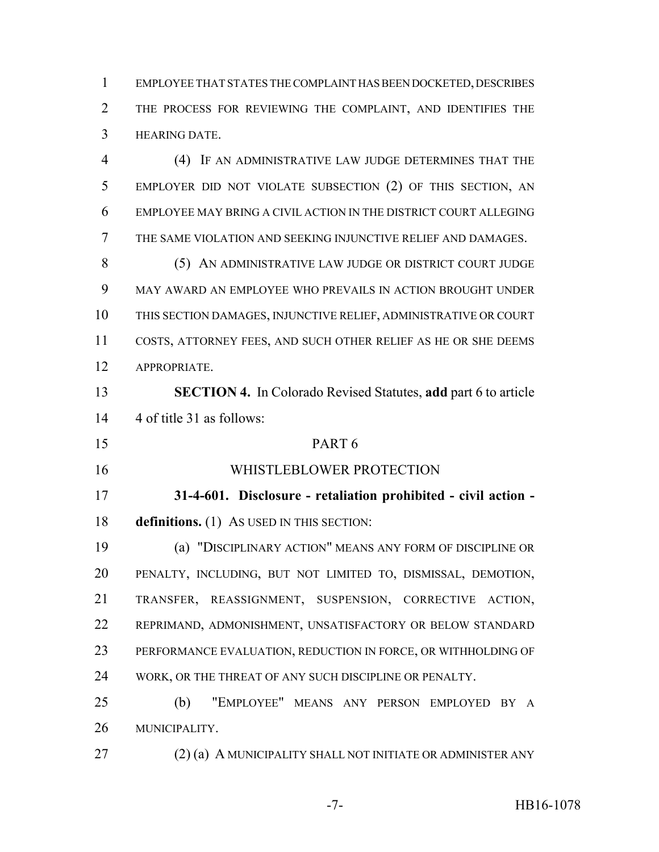EMPLOYEE THAT STATES THE COMPLAINT HAS BEEN DOCKETED, DESCRIBES THE PROCESS FOR REVIEWING THE COMPLAINT, AND IDENTIFIES THE HEARING DATE.

 (4) IF AN ADMINISTRATIVE LAW JUDGE DETERMINES THAT THE EMPLOYER DID NOT VIOLATE SUBSECTION (2) OF THIS SECTION, AN EMPLOYEE MAY BRING A CIVIL ACTION IN THE DISTRICT COURT ALLEGING THE SAME VIOLATION AND SEEKING INJUNCTIVE RELIEF AND DAMAGES. 8 (5) AN ADMINISTRATIVE LAW JUDGE OR DISTRICT COURT JUDGE MAY AWARD AN EMPLOYEE WHO PREVAILS IN ACTION BROUGHT UNDER THIS SECTION DAMAGES, INJUNCTIVE RELIEF, ADMINISTRATIVE OR COURT COSTS, ATTORNEY FEES, AND SUCH OTHER RELIEF AS HE OR SHE DEEMS APPROPRIATE. **SECTION 4.** In Colorado Revised Statutes, **add** part 6 to article 4 of title 31 as follows: PART 6 WHISTLEBLOWER PROTECTION **31-4-601. Disclosure - retaliation prohibited - civil action - definitions.** (1) AS USED IN THIS SECTION:

 (a) "DISCIPLINARY ACTION" MEANS ANY FORM OF DISCIPLINE OR PENALTY, INCLUDING, BUT NOT LIMITED TO, DISMISSAL, DEMOTION, TRANSFER, REASSIGNMENT, SUSPENSION, CORRECTIVE ACTION, REPRIMAND, ADMONISHMENT, UNSATISFACTORY OR BELOW STANDARD PERFORMANCE EVALUATION, REDUCTION IN FORCE, OR WITHHOLDING OF WORK, OR THE THREAT OF ANY SUCH DISCIPLINE OR PENALTY.

 (b) "EMPLOYEE" MEANS ANY PERSON EMPLOYED BY A MUNICIPALITY.

27 (2) (a) A MUNICIPALITY SHALL NOT INITIATE OR ADMINISTER ANY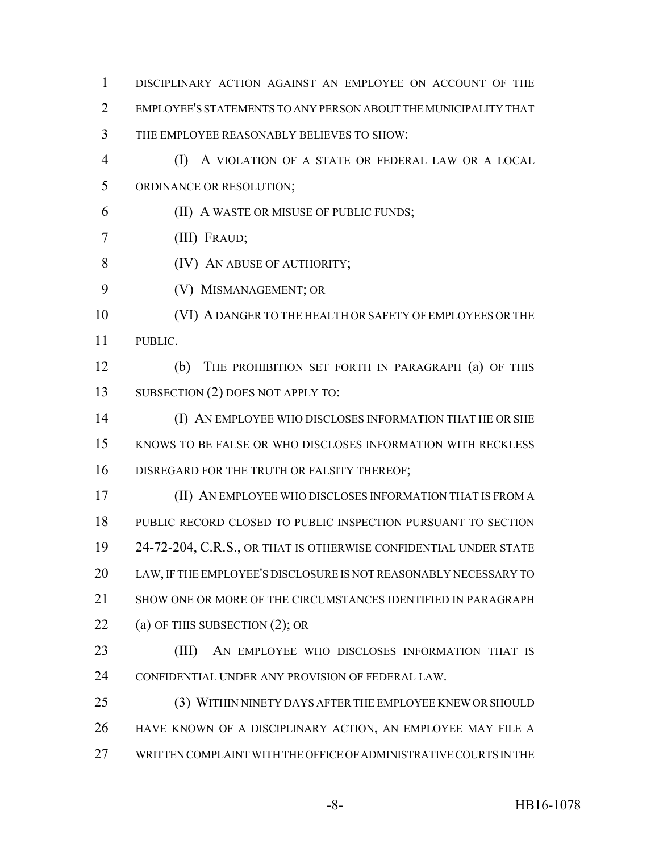DISCIPLINARY ACTION AGAINST AN EMPLOYEE ON ACCOUNT OF THE EMPLOYEE'S STATEMENTS TO ANY PERSON ABOUT THE MUNICIPALITY THAT THE EMPLOYEE REASONABLY BELIEVES TO SHOW: (I) A VIOLATION OF A STATE OR FEDERAL LAW OR A LOCAL ORDINANCE OR RESOLUTION; (II) A WASTE OR MISUSE OF PUBLIC FUNDS; (III) FRAUD; **(IV) AN ABUSE OF AUTHORITY;**  (V) MISMANAGEMENT; OR (VI) A DANGER TO THE HEALTH OR SAFETY OF EMPLOYEES OR THE PUBLIC. (b) THE PROHIBITION SET FORTH IN PARAGRAPH (a) OF THIS 13 SUBSECTION (2) DOES NOT APPLY TO: (I) AN EMPLOYEE WHO DISCLOSES INFORMATION THAT HE OR SHE KNOWS TO BE FALSE OR WHO DISCLOSES INFORMATION WITH RECKLESS DISREGARD FOR THE TRUTH OR FALSITY THEREOF; (II) AN EMPLOYEE WHO DISCLOSES INFORMATION THAT IS FROM A PUBLIC RECORD CLOSED TO PUBLIC INSPECTION PURSUANT TO SECTION 24-72-204, C.R.S., OR THAT IS OTHERWISE CONFIDENTIAL UNDER STATE LAW, IF THE EMPLOYEE'S DISCLOSURE IS NOT REASONABLY NECESSARY TO SHOW ONE OR MORE OF THE CIRCUMSTANCES IDENTIFIED IN PARAGRAPH 22 (a) OF THIS SUBSECTION (2); OR (III) AN EMPLOYEE WHO DISCLOSES INFORMATION THAT IS CONFIDENTIAL UNDER ANY PROVISION OF FEDERAL LAW. (3) WITHIN NINETY DAYS AFTER THE EMPLOYEE KNEW OR SHOULD HAVE KNOWN OF A DISCIPLINARY ACTION, AN EMPLOYEE MAY FILE A WRITTEN COMPLAINT WITH THE OFFICE OF ADMINISTRATIVE COURTS IN THE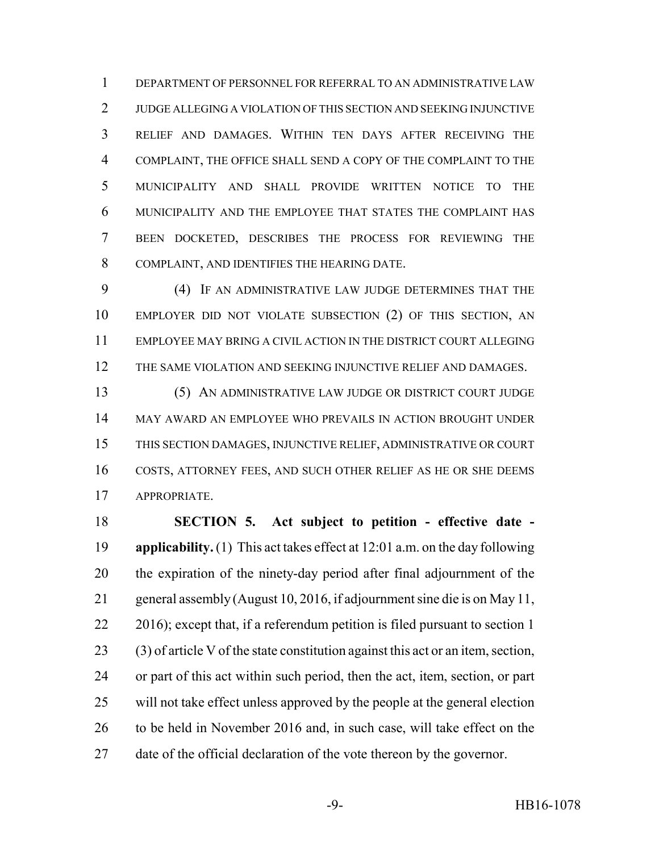DEPARTMENT OF PERSONNEL FOR REFERRAL TO AN ADMINISTRATIVE LAW JUDGE ALLEGING A VIOLATION OF THIS SECTION AND SEEKING INJUNCTIVE RELIEF AND DAMAGES. WITHIN TEN DAYS AFTER RECEIVING THE COMPLAINT, THE OFFICE SHALL SEND A COPY OF THE COMPLAINT TO THE MUNICIPALITY AND SHALL PROVIDE WRITTEN NOTICE TO THE MUNICIPALITY AND THE EMPLOYEE THAT STATES THE COMPLAINT HAS BEEN DOCKETED, DESCRIBES THE PROCESS FOR REVIEWING THE COMPLAINT, AND IDENTIFIES THE HEARING DATE.

 (4) IF AN ADMINISTRATIVE LAW JUDGE DETERMINES THAT THE EMPLOYER DID NOT VIOLATE SUBSECTION (2) OF THIS SECTION, AN EMPLOYEE MAY BRING A CIVIL ACTION IN THE DISTRICT COURT ALLEGING THE SAME VIOLATION AND SEEKING INJUNCTIVE RELIEF AND DAMAGES.

 (5) AN ADMINISTRATIVE LAW JUDGE OR DISTRICT COURT JUDGE MAY AWARD AN EMPLOYEE WHO PREVAILS IN ACTION BROUGHT UNDER THIS SECTION DAMAGES, INJUNCTIVE RELIEF, ADMINISTRATIVE OR COURT COSTS, ATTORNEY FEES, AND SUCH OTHER RELIEF AS HE OR SHE DEEMS APPROPRIATE.

 **SECTION 5. Act subject to petition - effective date - applicability.** (1) This act takes effect at 12:01 a.m. on the day following the expiration of the ninety-day period after final adjournment of the general assembly (August 10, 2016, if adjournment sine die is on May 11, 22 2016); except that, if a referendum petition is filed pursuant to section 1 (3) of article V of the state constitution against this act or an item, section, or part of this act within such period, then the act, item, section, or part will not take effect unless approved by the people at the general election to be held in November 2016 and, in such case, will take effect on the date of the official declaration of the vote thereon by the governor.